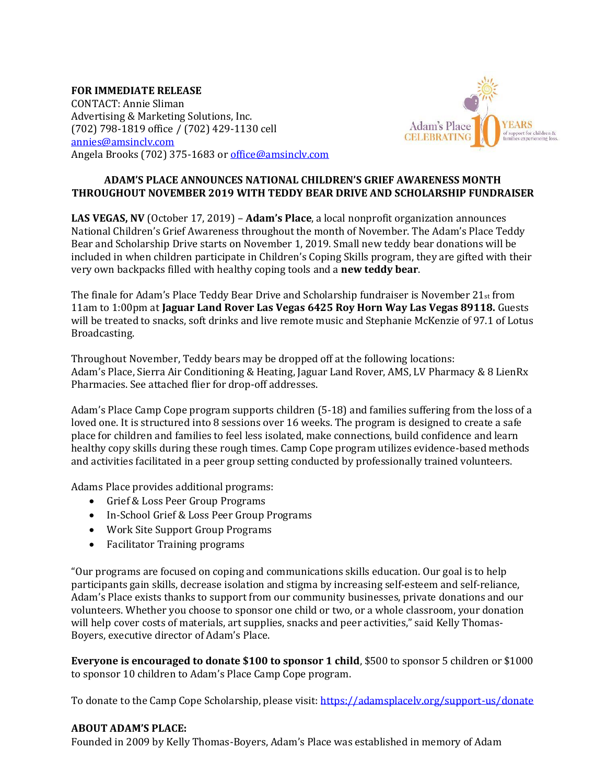## **FOR IMMEDIATE RELEASE**

CONTACT: Annie Sliman Advertising & Marketing Solutions, Inc. (702) 798-1819 office / (702) 429-1130 cell [annies@amsinclv.com](mailto:annies@amsinclv.com) Angela Brooks (702) 375-1683 or [office@amsinclv.com](mailto:office@amsinclv.com)



## **ADAM'S PLACE ANNOUNCES NATIONAL CHILDREN'S GRIEF AWARENESS MONTH THROUGHOUT NOVEMBER 2019 WITH TEDDY BEAR DRIVE AND SCHOLARSHIP FUNDRAISER**

**LAS VEGAS, NV** (October 17, 2019) – **Adam's Place**, a local nonprofit organization announces National Children's Grief Awareness throughout the month of November. The Adam's Place Teddy Bear and Scholarship Drive starts on November 1, 2019. Small new teddy bear donations will be included in when children participate in Children's Coping Skills program, they are gifted with their very own backpacks filled with healthy coping tools and a **new teddy bear**.

The finale for Adam's Place Teddy Bear Drive and Scholarship fundraiser is November  $21_{st}$  from 11am to 1:00pm at **Jaguar Land Rover Las Vegas 6425 Roy Horn Way Las Vegas 89118.** Guests will be treated to snacks, soft drinks and live remote music and Stephanie McKenzie of 97.1 of Lotus Broadcasting.

Throughout November, Teddy bears may be dropped off at the following locations: Adam's Place, Sierra Air Conditioning & Heating, Jaguar Land Rover, AMS, LV Pharmacy & 8 LienRx Pharmacies. See attached flier for drop-off addresses.

Adam's Place Camp Cope program supports children (5-18) and families suffering from the loss of a loved one. It is structured into 8 sessions over 16 weeks. The program is designed to create a safe place for children and families to feel less isolated, make connections, build confidence and learn healthy copy skills during these rough times. Camp Cope program utilizes evidence-based methods and activities facilitated in a peer group setting conducted by professionally trained volunteers.

Adams Place provides additional programs:

- Grief & Loss Peer Group Programs
- In-School Grief & Loss Peer Group Programs
- Work Site Support Group Programs
- Facilitator Training programs

"Our programs are focused on coping and communications skills education. Our goal is to help participants gain skills, decrease isolation and stigma by increasing self-esteem and self-reliance, Adam's Place exists thanks to support from our community businesses, private donations and our volunteers. Whether you choose to sponsor one child or two, or a whole classroom, your donation will help cover costs of materials, art supplies, snacks and peer activities," said Kelly Thomas-Boyers, executive director of Adam's Place.

**Everyone is encouraged to donate \$100 to sponsor 1 child**, \$500 to sponsor 5 children or \$1000 to sponsor 10 children to Adam's Place Camp Cope program.

To donate to the Camp Cope Scholarship, please visit:<https://adamsplacelv.org/support-us/donate>

## **ABOUT ADAM'S PLACE:**

Founded in 2009 by Kelly Thomas-Boyers, Adam's Place was established in memory of Adam